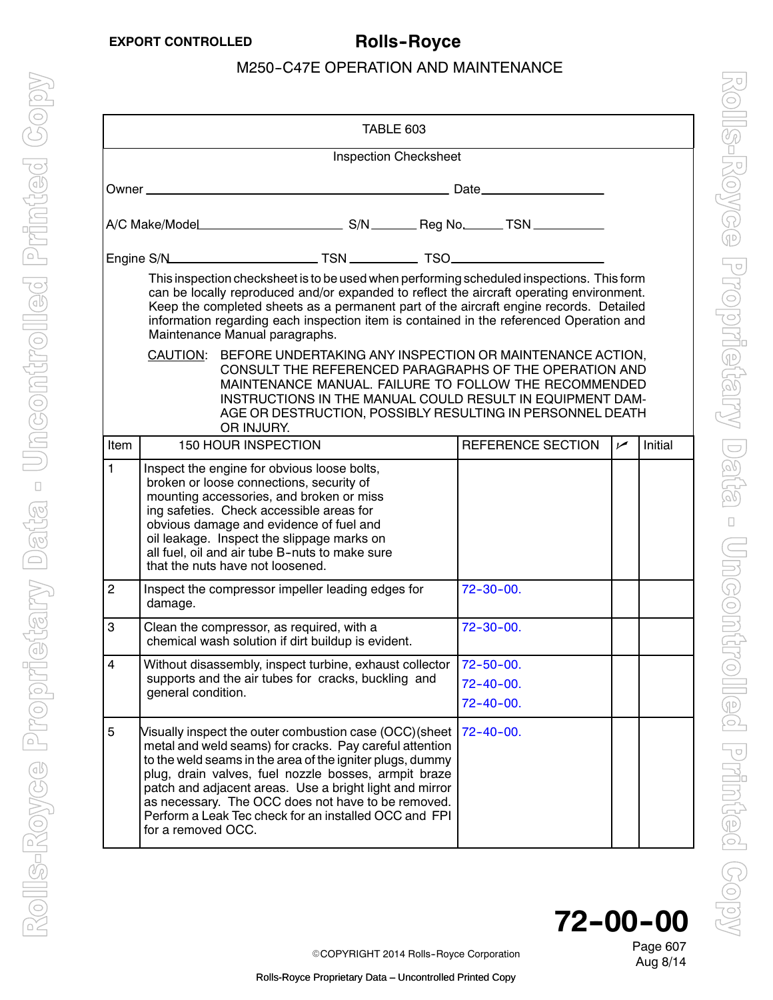<span id="page-0-0"></span>

| TABLE 603                                                                                                                                                                                                                                                                                                                                                                                                    |                                                                                                                                                                                                                                                                                                                                 |                                                                                                                                                                                                                                                                                                                                                                                                                  |  |  |                                     |  |            |         |
|--------------------------------------------------------------------------------------------------------------------------------------------------------------------------------------------------------------------------------------------------------------------------------------------------------------------------------------------------------------------------------------------------------------|---------------------------------------------------------------------------------------------------------------------------------------------------------------------------------------------------------------------------------------------------------------------------------------------------------------------------------|------------------------------------------------------------------------------------------------------------------------------------------------------------------------------------------------------------------------------------------------------------------------------------------------------------------------------------------------------------------------------------------------------------------|--|--|-------------------------------------|--|------------|---------|
|                                                                                                                                                                                                                                                                                                                                                                                                              | <b>Inspection Checksheet</b>                                                                                                                                                                                                                                                                                                    |                                                                                                                                                                                                                                                                                                                                                                                                                  |  |  |                                     |  |            |         |
|                                                                                                                                                                                                                                                                                                                                                                                                              |                                                                                                                                                                                                                                                                                                                                 |                                                                                                                                                                                                                                                                                                                                                                                                                  |  |  |                                     |  |            |         |
|                                                                                                                                                                                                                                                                                                                                                                                                              |                                                                                                                                                                                                                                                                                                                                 |                                                                                                                                                                                                                                                                                                                                                                                                                  |  |  |                                     |  |            |         |
|                                                                                                                                                                                                                                                                                                                                                                                                              |                                                                                                                                                                                                                                                                                                                                 |                                                                                                                                                                                                                                                                                                                                                                                                                  |  |  |                                     |  |            |         |
| This inspection checksheet is to be used when performing scheduled inspections. This form<br>can be locally reproduced and/or expanded to reflect the aircraft operating environment.<br>Keep the completed sheets as a permanent part of the aircraft engine records. Detailed<br>information regarding each inspection item is contained in the referenced Operation and<br>Maintenance Manual paragraphs. |                                                                                                                                                                                                                                                                                                                                 |                                                                                                                                                                                                                                                                                                                                                                                                                  |  |  |                                     |  |            |         |
|                                                                                                                                                                                                                                                                                                                                                                                                              | BEFORE UNDERTAKING ANY INSPECTION OR MAINTENANCE ACTION,<br>CAUTION:<br>CONSULT THE REFERENCED PARAGRAPHS OF THE OPERATION AND<br>MAINTENANCE MANUAL. FAILURE TO FOLLOW THE RECOMMENDED<br>INSTRUCTIONS IN THE MANUAL COULD RESULT IN EQUIPMENT DAM-<br>AGE OR DESTRUCTION, POSSIBLY RESULTING IN PERSONNEL DEATH<br>OR INJURY. |                                                                                                                                                                                                                                                                                                                                                                                                                  |  |  |                                     |  |            |         |
| Item                                                                                                                                                                                                                                                                                                                                                                                                         |                                                                                                                                                                                                                                                                                                                                 | <b>150 HOUR INSPECTION</b>                                                                                                                                                                                                                                                                                                                                                                                       |  |  | REFERENCE SECTION                   |  | $\sqrt{ }$ | Initial |
| $\mathbf{1}$                                                                                                                                                                                                                                                                                                                                                                                                 |                                                                                                                                                                                                                                                                                                                                 | Inspect the engine for obvious loose bolts,<br>broken or loose connections, security of<br>mounting accessories, and broken or miss<br>ing safeties. Check accessible areas for<br>obvious damage and evidence of fuel and<br>oil leakage. Inspect the slippage marks on<br>all fuel, oil and air tube B-nuts to make sure<br>that the nuts have not loosened.                                                   |  |  |                                     |  |            |         |
| $\overline{c}$                                                                                                                                                                                                                                                                                                                                                                                               | damage.                                                                                                                                                                                                                                                                                                                         | Inspect the compressor impeller leading edges for                                                                                                                                                                                                                                                                                                                                                                |  |  | $72 - 30 - 00.$                     |  |            |         |
| 3                                                                                                                                                                                                                                                                                                                                                                                                            |                                                                                                                                                                                                                                                                                                                                 | Clean the compressor, as required, with a<br>chemical wash solution if dirt buildup is evident.                                                                                                                                                                                                                                                                                                                  |  |  | $72 - 30 - 00.$                     |  |            |         |
| $\overline{\mathbf{4}}$                                                                                                                                                                                                                                                                                                                                                                                      | general condition.                                                                                                                                                                                                                                                                                                              | Without disassembly, inspect turbine, exhaust collector   72-50-00.<br>supports and the air tubes for cracks, buckling and                                                                                                                                                                                                                                                                                       |  |  | $72 - 40 - 00$ .<br>$72 - 40 - 00.$ |  |            |         |
| 5                                                                                                                                                                                                                                                                                                                                                                                                            | for a removed OCC.                                                                                                                                                                                                                                                                                                              | Visually inspect the outer combustion case (OCC)(sheet<br>metal and weld seams) for cracks. Pay careful attention<br>to the weld seams in the area of the igniter plugs, dummy<br>plug, drain valves, fuel nozzle bosses, armpit braze<br>patch and adjacent areas. Use a bright light and mirror<br>as necessary. The OCC does not have to be removed.<br>Perform a Leak Tec check for an installed OCC and FPI |  |  | $72 - 40 - 00$ .                    |  |            |         |



Aug 8/14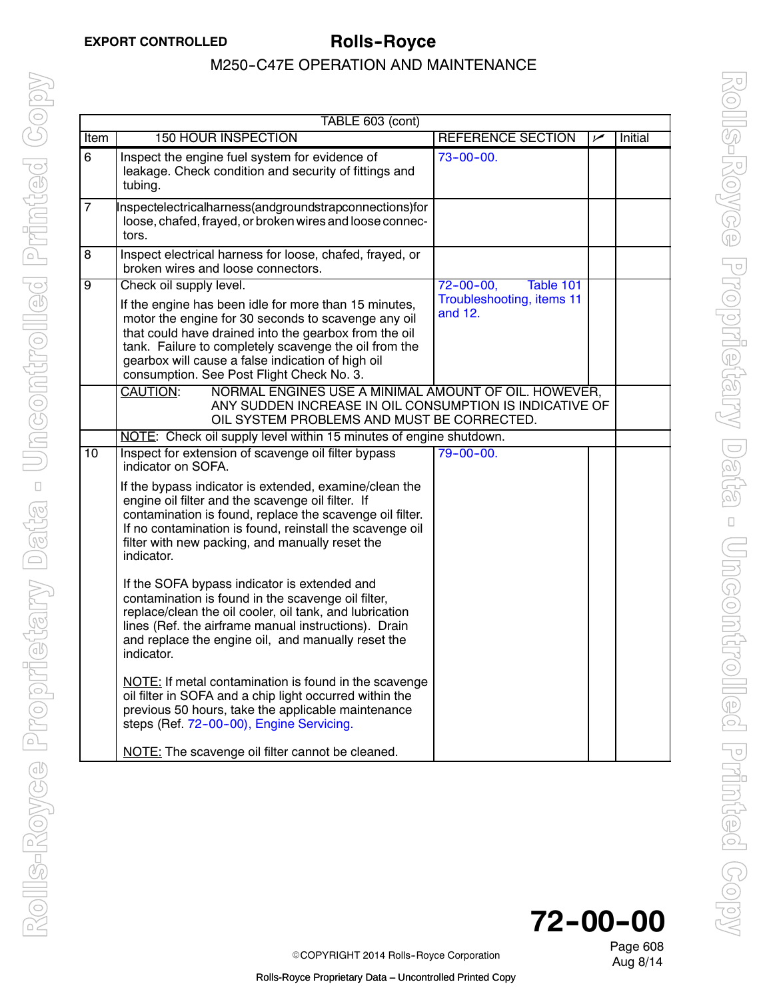|                 | TABLE 603 (cont)                                                                                                                                                                                                                                                                                                                                            |                                                                      |     |         |  |
|-----------------|-------------------------------------------------------------------------------------------------------------------------------------------------------------------------------------------------------------------------------------------------------------------------------------------------------------------------------------------------------------|----------------------------------------------------------------------|-----|---------|--|
| Item            | <b>150 HOUR INSPECTION</b>                                                                                                                                                                                                                                                                                                                                  | REFERENCE SECTION                                                    | مما | Initial |  |
| 6               | Inspect the engine fuel system for evidence of<br>leakage. Check condition and security of fittings and<br>tubing.                                                                                                                                                                                                                                          | $73 - 00 - 00$ .                                                     |     |         |  |
| $\overline{7}$  | Inspectelectricalharness(andgroundstrapconnections)for<br>loose, chafed, frayed, or broken wires and loose connec-<br>tors.                                                                                                                                                                                                                                 |                                                                      |     |         |  |
| $\overline{8}$  | Inspect electrical harness for loose, chafed, frayed, or<br>broken wires and loose connectors.                                                                                                                                                                                                                                                              |                                                                      |     |         |  |
| $\overline{9}$  | Check oil supply level.<br>If the engine has been idle for more than 15 minutes,<br>motor the engine for 30 seconds to scavenge any oil<br>that could have drained into the gearbox from the oil<br>tank. Failure to completely scavenge the oil from the<br>gearbox will cause a false indication of high oil<br>consumption. See Post Flight Check No. 3. | $72 - 00 - 00,$<br>Table 101<br>Troubleshooting, items 11<br>and 12. |     |         |  |
|                 | <b>CAUTION:</b><br>NORMAL ENGINES USE A MINIMAL AMOUNT OF OIL. HOWEVER,<br>ANY SUDDEN INCREASE IN OIL CONSUMPTION IS INDICATIVE OF<br>OIL SYSTEM PROBLEMS AND MUST BE CORRECTED.                                                                                                                                                                            |                                                                      |     |         |  |
|                 | NOTE: Check oil supply level within 15 minutes of engine shutdown.                                                                                                                                                                                                                                                                                          |                                                                      |     |         |  |
| $\overline{10}$ | Inspect for extension of scavenge oil filter bypass<br>indicator on SOFA.                                                                                                                                                                                                                                                                                   | $79 - 00 - 00.$                                                      |     |         |  |
|                 | If the bypass indicator is extended, examine/clean the<br>engine oil filter and the scavenge oil filter. If<br>contamination is found, replace the scavenge oil filter.<br>If no contamination is found, reinstall the scavenge oil<br>filter with new packing, and manually reset the<br>indicator.                                                        |                                                                      |     |         |  |
|                 | If the SOFA bypass indicator is extended and<br>contamination is found in the scavenge oil filter,<br>replace/clean the oil cooler, oil tank, and lubrication<br>lines (Ref. the airframe manual instructions). Drain<br>and replace the engine oil, and manually reset the<br>indicator.                                                                   |                                                                      |     |         |  |
|                 | NOTE: If metal contamination is found in the scavenge<br>oil filter in SOFA and a chip light occurred within the<br>previous 50 hours, take the applicable maintenance<br>steps (Ref. 72-00-00), Engine Servicing.                                                                                                                                          |                                                                      |     |         |  |
|                 | NOTE: The scavenge oil filter cannot be cleaned.                                                                                                                                                                                                                                                                                                            |                                                                      |     |         |  |



Page 608

COPYRIGHT 2014 Rolls-Royce Corporation<br>Aug 8/14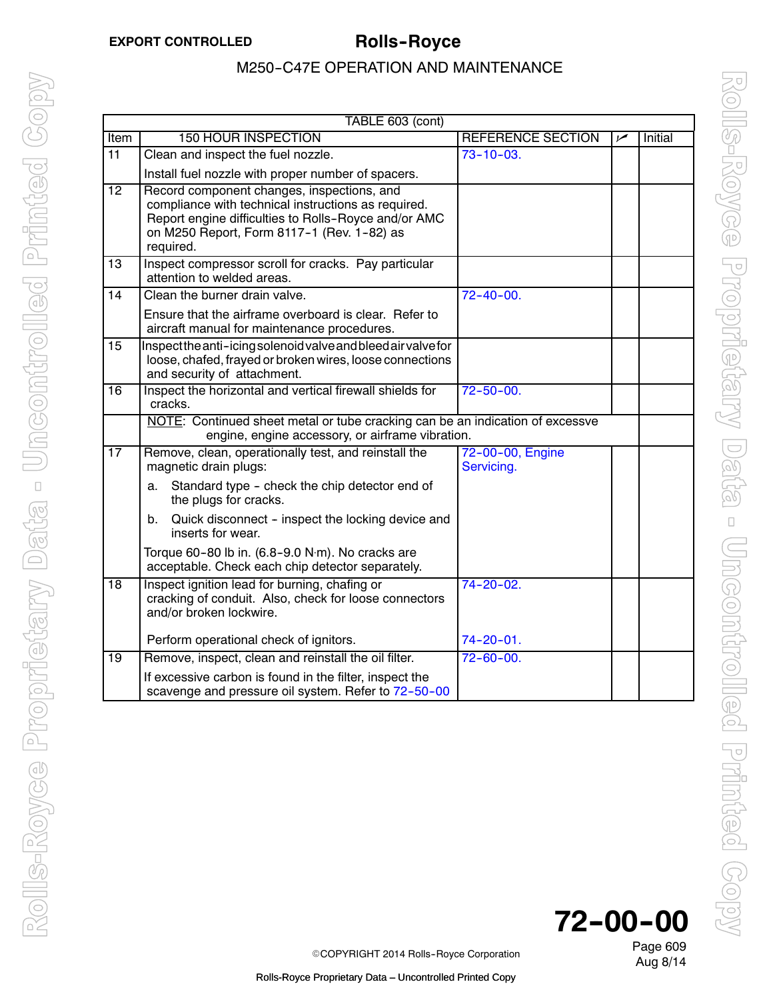|                 | TABLE 603 (cont)                                                                                                                                                                                                     |                                |     |                |  |  |
|-----------------|----------------------------------------------------------------------------------------------------------------------------------------------------------------------------------------------------------------------|--------------------------------|-----|----------------|--|--|
| Item            | <b>150 HOUR INSPECTION</b>                                                                                                                                                                                           | REFERENCE SECTION              | مرا | <b>Initial</b> |  |  |
| $\overline{11}$ | Clean and inspect the fuel nozzle.                                                                                                                                                                                   | $73 - 10 - 03.$                |     |                |  |  |
|                 | Install fuel nozzle with proper number of spacers.                                                                                                                                                                   |                                |     |                |  |  |
| $\overline{12}$ | Record component changes, inspections, and<br>compliance with technical instructions as required.<br>Report engine difficulties to Rolls-Royce and/or AMC<br>on M250 Report, Form 8117-1 (Rev. 1-82) as<br>required. |                                |     |                |  |  |
| 13              | Inspect compressor scroll for cracks. Pay particular<br>attention to welded areas.                                                                                                                                   |                                |     |                |  |  |
| 14              | Clean the burner drain valve.                                                                                                                                                                                        | $72 - 40 - 00.$                |     |                |  |  |
|                 | Ensure that the airframe overboard is clear. Refer to<br>aircraft manual for maintenance procedures.                                                                                                                 |                                |     |                |  |  |
| 15              | Inspectthe anti-icing solenoid valve and bleed air valve for<br>loose, chafed, frayed or broken wires, loose connections<br>and security of attachment.                                                              |                                |     |                |  |  |
| $\overline{16}$ | Inspect the horizontal and vertical firewall shields for<br>cracks.                                                                                                                                                  | $72 - 50 - 00.$                |     |                |  |  |
|                 | NOTE: Continued sheet metal or tube cracking can be an indication of excessve<br>engine, engine accessory, or airframe vibration.                                                                                    |                                |     |                |  |  |
| $\overline{17}$ | Remove, clean, operationally test, and reinstall the<br>magnetic drain plugs:                                                                                                                                        | 72-00-00, Engine<br>Servicing. |     |                |  |  |
|                 | Standard type - check the chip detector end of<br>a.<br>the plugs for cracks.                                                                                                                                        |                                |     |                |  |  |
|                 | Quick disconnect - inspect the locking device and<br>b.<br>inserts for wear.                                                                                                                                         |                                |     |                |  |  |
|                 | Torque 60-80 lb in. (6.8-9.0 N·m). No cracks are<br>acceptable. Check each chip detector separately.                                                                                                                 |                                |     |                |  |  |
| $\overline{18}$ | Inspect ignition lead for burning, chafing or<br>cracking of conduit. Also, check for loose connectors<br>and/or broken lockwire.                                                                                    | $74 - 20 - 02$ .               |     |                |  |  |
|                 | Perform operational check of ignitors.                                                                                                                                                                               | 74-20-01.                      |     |                |  |  |
| $\overline{19}$ | Remove, inspect, clean and reinstall the oil filter.                                                                                                                                                                 | $72 - 60 - 00$ .               |     |                |  |  |
|                 | If excessive carbon is found in the filter, inspect the<br>scavenge and pressure oil system. Refer to 72-50-00                                                                                                       |                                |     |                |  |  |

**72--00--00**

Page 609 Aug 8/14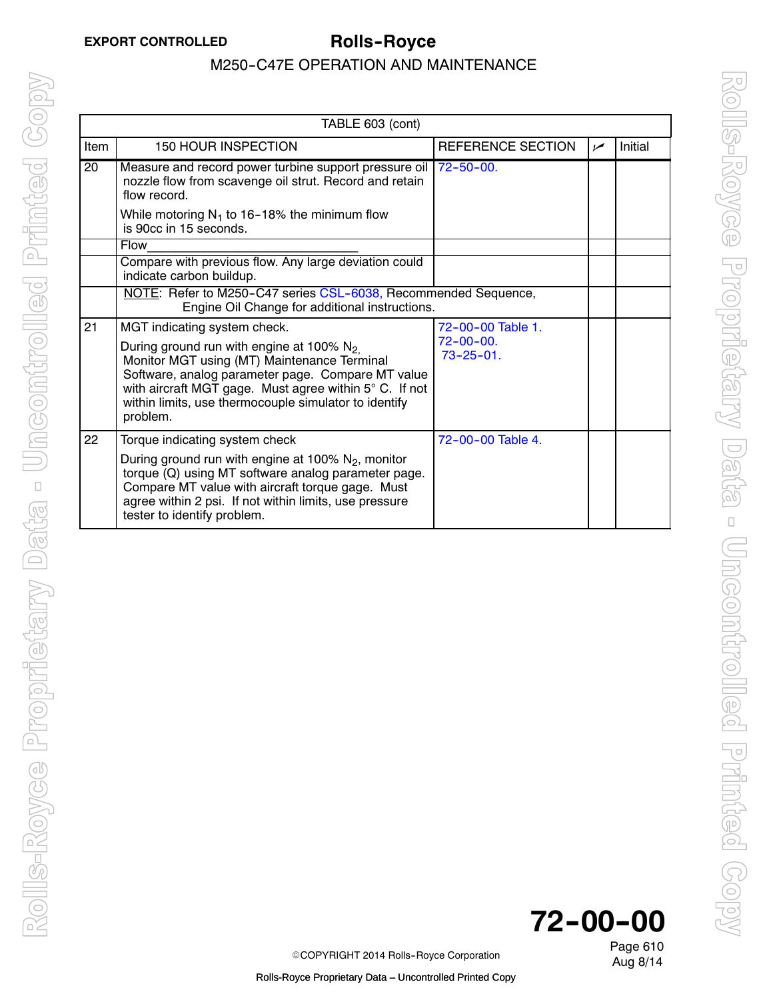|                 | TABLE 603 (cont)                                                                                                                                                                                                                                                                         |                                     |      |         |  |
|-----------------|------------------------------------------------------------------------------------------------------------------------------------------------------------------------------------------------------------------------------------------------------------------------------------------|-------------------------------------|------|---------|--|
| <b>Item</b>     | <b>150 HOUR INSPECTION</b>                                                                                                                                                                                                                                                               | REFERENCE SECTION                   | ممرا | Initial |  |
| $\overline{20}$ | Measure and record power turbine support pressure oil<br>nozzle flow from scavenge oil strut. Record and retain<br>flow record.                                                                                                                                                          | $172 - 50 - 00$ .                   |      |         |  |
|                 | While motoring $N_1$ to 16-18% the minimum flow<br>is 90cc in 15 seconds.                                                                                                                                                                                                                |                                     |      |         |  |
|                 | <b>Flow</b>                                                                                                                                                                                                                                                                              |                                     |      |         |  |
|                 | Compare with previous flow. Any large deviation could<br>indicate carbon buildup.                                                                                                                                                                                                        |                                     |      |         |  |
|                 | NOTE: Refer to M250-C47 series CSL-6038, Recommended Sequence,<br>Engine Oil Change for additional instructions.                                                                                                                                                                         |                                     |      |         |  |
| 21              | MGT indicating system check.                                                                                                                                                                                                                                                             | 72-00-00 Table 1.                   |      |         |  |
|                 | During ground run with engine at 100% N <sub>2.</sub><br>Monitor MGT using (MT) Maintenance Terminal<br>Software, analog parameter page. Compare MT value<br>with aircraft MGT gage. Must agree within 5° C. If not<br>within limits, use thermocouple simulator to identify<br>problem. | $72 - 00 - 00.$<br>$73 - 25 - 01$ . |      |         |  |
| 22              | Torque indicating system check                                                                                                                                                                                                                                                           | 72-00-00 Table 4.                   |      |         |  |
|                 | During ground run with engine at 100% $N_2$ , monitor<br>torque (Q) using MT software analog parameter page.<br>Compare MT value with aircraft torque gage. Must<br>agree within 2 psi. If not within limits, use pressure<br>tester to identify problem.                                |                                     |      |         |  |



Page 610

COPYRIGHT 2014 Rolls-Royce Corporation<br>Aug 8/14

Rolls-Royce Proprietary Data – Uncontrolled Printed Copy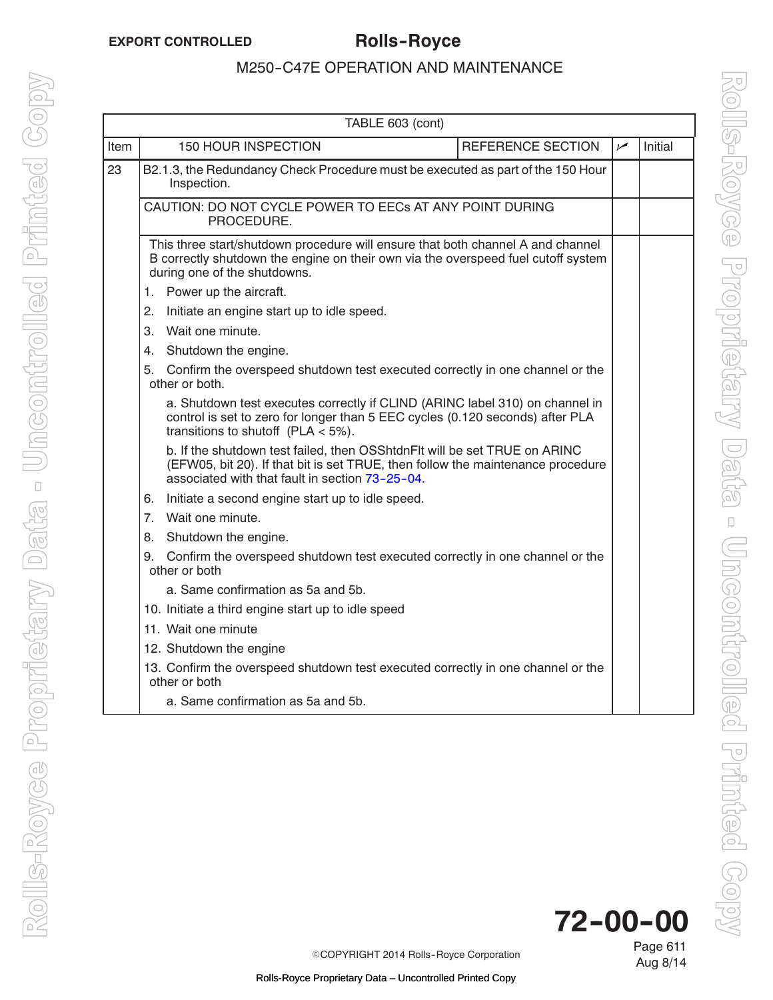<span id="page-4-0"></span>

|                                                    | TABLE 603 (cont)                                                                                                                                                                                                                                                                                              |                   |     |         |  |  |
|----------------------------------------------------|---------------------------------------------------------------------------------------------------------------------------------------------------------------------------------------------------------------------------------------------------------------------------------------------------------------|-------------------|-----|---------|--|--|
| Item                                               | <b>150 HOUR INSPECTION</b>                                                                                                                                                                                                                                                                                    | REFERENCE SECTION | سما | Initial |  |  |
| 23                                                 | B2.1.3, the Redundancy Check Procedure must be executed as part of the 150 Hour<br>Inspection.                                                                                                                                                                                                                |                   |     |         |  |  |
|                                                    | CAUTION: DO NOT CYCLE POWER TO EECS AT ANY POINT DURING<br>PROCEDURE.                                                                                                                                                                                                                                         |                   |     |         |  |  |
|                                                    | This three start/shutdown procedure will ensure that both channel A and channel<br>B correctly shutdown the engine on their own via the overspeed fuel cutoff system<br>during one of the shutdowns.                                                                                                          |                   |     |         |  |  |
|                                                    | Power up the aircraft.<br>1.                                                                                                                                                                                                                                                                                  |                   |     |         |  |  |
|                                                    | 2.<br>Initiate an engine start up to idle speed.                                                                                                                                                                                                                                                              |                   |     |         |  |  |
|                                                    | Wait one minute.<br>3.                                                                                                                                                                                                                                                                                        |                   |     |         |  |  |
|                                                    | Shutdown the engine.<br>4.                                                                                                                                                                                                                                                                                    |                   |     |         |  |  |
|                                                    | 5.<br>Confirm the overspeed shutdown test executed correctly in one channel or the<br>other or both.<br>a. Shutdown test executes correctly if CLIND (ARINC label 310) on channel in<br>control is set to zero for longer than 5 EEC cycles (0.120 seconds) after PLA<br>transitions to shutoff (PLA $<$ 5%). |                   |     |         |  |  |
|                                                    |                                                                                                                                                                                                                                                                                                               |                   |     |         |  |  |
|                                                    | b. If the shutdown test failed, then OSShtdnFlt will be set TRUE on ARINC<br>(EFW05, bit 20). If that bit is set TRUE, then follow the maintenance procedure<br>associated with that fault in section 73-25-04.                                                                                               |                   |     |         |  |  |
|                                                    | Initiate a second engine start up to idle speed.<br>6.                                                                                                                                                                                                                                                        |                   |     |         |  |  |
|                                                    | 7.<br>Wait one minute.                                                                                                                                                                                                                                                                                        |                   |     |         |  |  |
|                                                    | Shutdown the engine.<br>8.                                                                                                                                                                                                                                                                                    |                   |     |         |  |  |
|                                                    | Confirm the overspeed shutdown test executed correctly in one channel or the<br>9.<br>other or both                                                                                                                                                                                                           |                   |     |         |  |  |
|                                                    | a. Same confirmation as 5a and 5b.                                                                                                                                                                                                                                                                            |                   |     |         |  |  |
| 10. Initiate a third engine start up to idle speed |                                                                                                                                                                                                                                                                                                               |                   |     |         |  |  |
|                                                    | 11. Wait one minute                                                                                                                                                                                                                                                                                           |                   |     |         |  |  |
|                                                    | 12. Shutdown the engine                                                                                                                                                                                                                                                                                       |                   |     |         |  |  |
|                                                    | 13. Confirm the overspeed shutdown test executed correctly in one channel or the<br>other or both                                                                                                                                                                                                             |                   |     |         |  |  |
|                                                    | a. Same confirmation as 5a and 5b.                                                                                                                                                                                                                                                                            |                   |     |         |  |  |



Page 611 Aug 8/14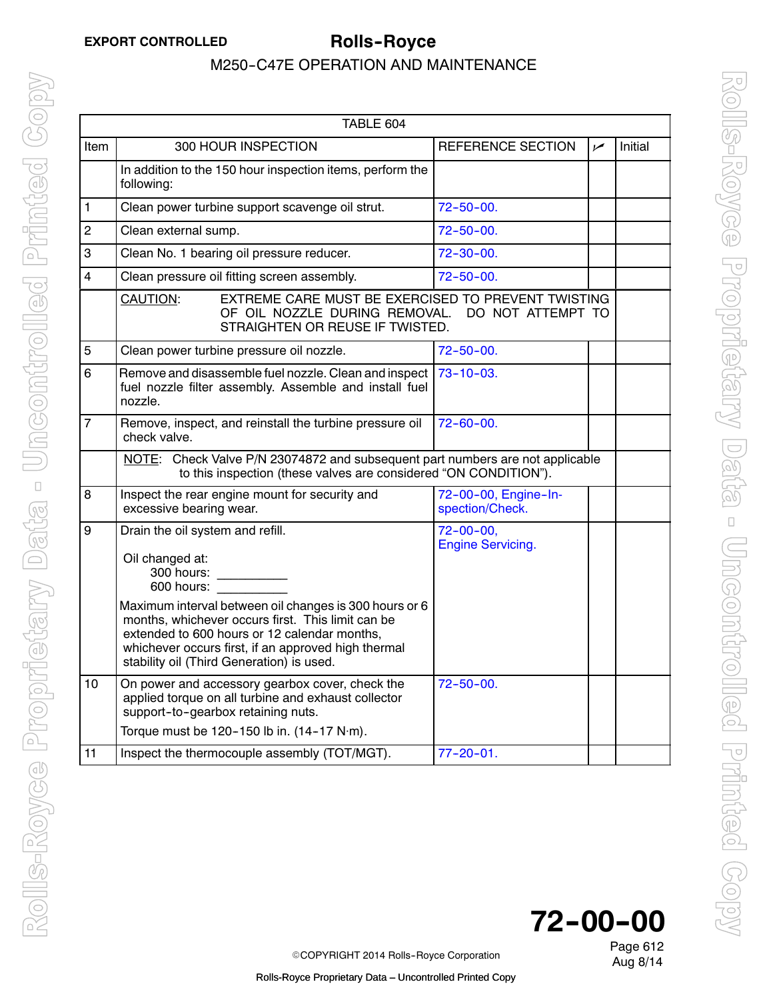| TABLE 604      |                                                                                                                                                                                                                                                                 |                                            |     |         |
|----------------|-----------------------------------------------------------------------------------------------------------------------------------------------------------------------------------------------------------------------------------------------------------------|--------------------------------------------|-----|---------|
| <b>Item</b>    | 300 HOUR INSPECTION                                                                                                                                                                                                                                             | <b>REFERENCE SECTION</b>                   | مما | Initial |
|                | In addition to the 150 hour inspection items, perform the<br>following:                                                                                                                                                                                         |                                            |     |         |
| $\mathbf{1}$   | Clean power turbine support scavenge oil strut.                                                                                                                                                                                                                 | $72 - 50 - 00.$                            |     |         |
| $\overline{2}$ | Clean external sump.                                                                                                                                                                                                                                            | $72 - 50 - 00$ .                           |     |         |
| 3              | Clean No. 1 bearing oil pressure reducer.                                                                                                                                                                                                                       | $72 - 30 - 00.$                            |     |         |
| 4              | Clean pressure oil fitting screen assembly.                                                                                                                                                                                                                     | $72 - 50 - 00.$                            |     |         |
|                | EXTREME CARE MUST BE EXERCISED TO PREVENT TWISTING<br><b>CAUTION:</b><br>OF OIL NOZZLE DURING REMOVAL.<br>STRAIGHTEN OR REUSE IF TWISTED.                                                                                                                       | DO NOT ATTEMPT TO                          |     |         |
| 5              | Clean power turbine pressure oil nozzle.                                                                                                                                                                                                                        | $72 - 50 - 00.$                            |     |         |
| 6              | Remove and disassemble fuel nozzle. Clean and inspect  <br>fuel nozzle filter assembly. Assemble and install fuel<br>nozzle.                                                                                                                                    | $73 - 10 - 03$ .                           |     |         |
| $\overline{7}$ | Remove, inspect, and reinstall the turbine pressure oil<br>check valve.                                                                                                                                                                                         | $72 - 60 - 00.$                            |     |         |
|                | NOTE: Check Valve P/N 23074872 and subsequent part numbers are not applicable<br>to this inspection (these valves are considered "ON CONDITION").                                                                                                               |                                            |     |         |
| $\overline{8}$ | Inspect the rear engine mount for security and<br>excessive bearing wear.                                                                                                                                                                                       | 72-00-00, Engine-In-<br>spection/Check.    |     |         |
| 9              | Drain the oil system and refill.<br>Oil changed at:<br>300 hours:<br>600 hours:                                                                                                                                                                                 | $72 - 00 - 00$<br><b>Engine Servicing.</b> |     |         |
|                | Maximum interval between oil changes is 300 hours or 6<br>months, whichever occurs first. This limit can be<br>extended to 600 hours or 12 calendar months,<br>whichever occurs first, if an approved high thermal<br>stability oil (Third Generation) is used. |                                            |     |         |
| 10             | On power and accessory gearbox cover, check the<br>applied torque on all turbine and exhaust collector<br>support-to-gearbox retaining nuts.                                                                                                                    | $72 - 50 - 00.$                            |     |         |
| 11             | Torque must be 120-150 lb in. (14-17 N·m).<br>Inspect the thermocouple assembly (TOT/MGT).                                                                                                                                                                      | $77 - 20 - 01$ .                           |     |         |
|                |                                                                                                                                                                                                                                                                 |                                            |     |         |

**72--00--00**

Page 612

Aug 8/14 <sup>E</sup>COPYRIGHT 2014 Rolls--Royce Corporation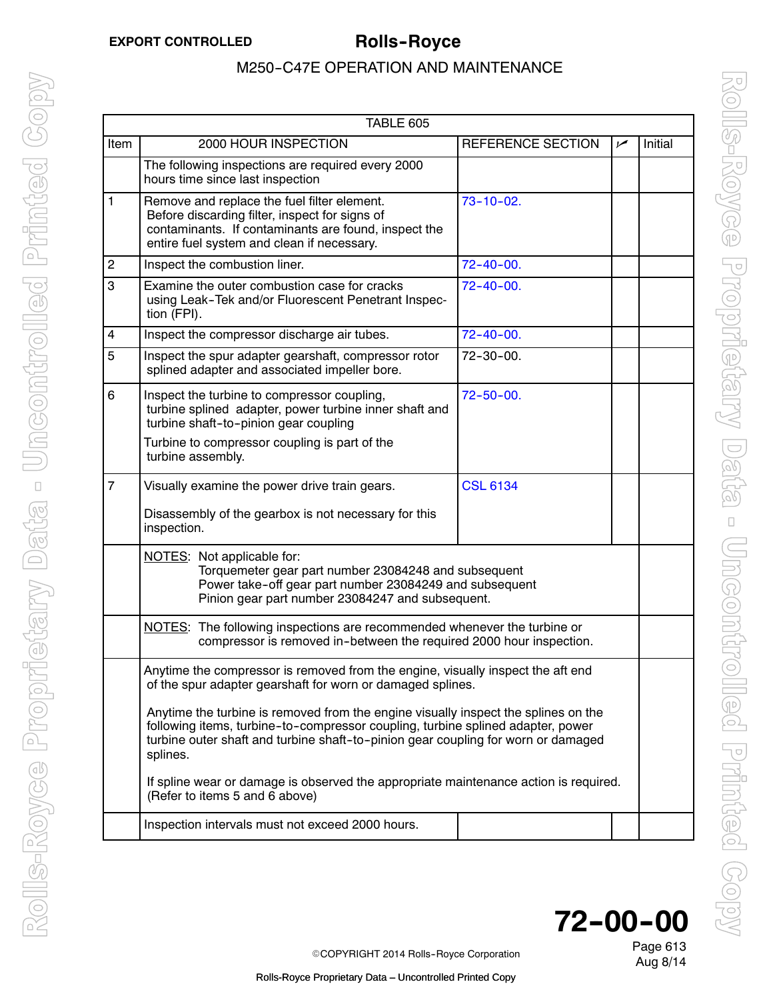|                | TABLE 605                                                                                                                                                                                                                                                              |                          |     |         |  |  |
|----------------|------------------------------------------------------------------------------------------------------------------------------------------------------------------------------------------------------------------------------------------------------------------------|--------------------------|-----|---------|--|--|
| Item           | 2000 HOUR INSPECTION                                                                                                                                                                                                                                                   | <b>REFERENCE SECTION</b> | مما | Initial |  |  |
|                | The following inspections are required every 2000<br>hours time since last inspection                                                                                                                                                                                  |                          |     |         |  |  |
| $\mathbf{1}$   | Remove and replace the fuel filter element.<br>Before discarding filter, inspect for signs of<br>contaminants. If contaminants are found, inspect the<br>entire fuel system and clean if necessary.                                                                    | $73 - 10 - 02$ .         |     |         |  |  |
| $\overline{c}$ | Inspect the combustion liner.                                                                                                                                                                                                                                          | $72 - 40 - 00.$          |     |         |  |  |
| 3              | Examine the outer combustion case for cracks<br>using Leak-Tek and/or Fluorescent Penetrant Inspec-<br>tion (FPI).                                                                                                                                                     | $72 - 40 - 00.$          |     |         |  |  |
| 4              | Inspect the compressor discharge air tubes.                                                                                                                                                                                                                            | $72 - 40 - 00.$          |     |         |  |  |
| 5              | Inspect the spur adapter gearshaft, compressor rotor<br>splined adapter and associated impeller bore.                                                                                                                                                                  | $72 - 30 - 00.$          |     |         |  |  |
| 6              | Inspect the turbine to compressor coupling,<br>turbine splined adapter, power turbine inner shaft and<br>turbine shaft-to-pinion gear coupling                                                                                                                         | $72 - 50 - 00.$          |     |         |  |  |
|                | Turbine to compressor coupling is part of the<br>turbine assembly.                                                                                                                                                                                                     |                          |     |         |  |  |
| $\overline{7}$ | Visually examine the power drive train gears.                                                                                                                                                                                                                          | <b>CSL 6134</b>          |     |         |  |  |
|                | Disassembly of the gearbox is not necessary for this<br>inspection.                                                                                                                                                                                                    |                          |     |         |  |  |
|                | NOTES: Not applicable for:<br>Torquemeter gear part number 23084248 and subsequent<br>Power take-off gear part number 23084249 and subsequent<br>Pinion gear part number 23084247 and subsequent.                                                                      |                          |     |         |  |  |
|                | NOTES: The following inspections are recommended whenever the turbine or<br>compressor is removed in-between the required 2000 hour inspection.                                                                                                                        |                          |     |         |  |  |
|                | Anytime the compressor is removed from the engine, visually inspect the aft end<br>of the spur adapter gearshaft for worn or damaged splines.                                                                                                                          |                          |     |         |  |  |
|                | Anytime the turbine is removed from the engine visually inspect the splines on the<br>following items, turbine-to-compressor coupling, turbine splined adapter, power<br>turbine outer shaft and turbine shaft-to-pinion gear coupling for worn or damaged<br>splines. |                          |     |         |  |  |
|                | If spline wear or damage is observed the appropriate maintenance action is required.<br>(Refer to items 5 and 6 above)                                                                                                                                                 |                          |     |         |  |  |
|                | Inspection intervals must not exceed 2000 hours.                                                                                                                                                                                                                       |                          |     |         |  |  |



Aug 8/14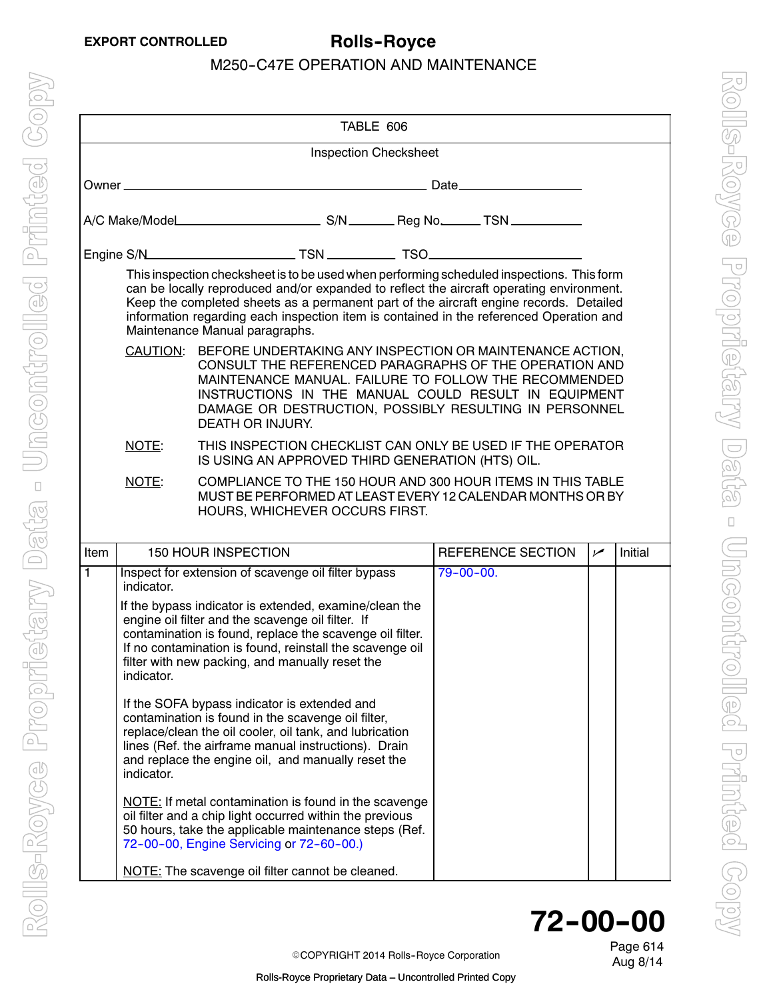|                                                                                                                                                                                                                                                                                                                            | TABLE 606                    |                                                                                                                                                                                                                                                                                                                                                                                                              |                   |            |         |  |  |
|----------------------------------------------------------------------------------------------------------------------------------------------------------------------------------------------------------------------------------------------------------------------------------------------------------------------------|------------------------------|--------------------------------------------------------------------------------------------------------------------------------------------------------------------------------------------------------------------------------------------------------------------------------------------------------------------------------------------------------------------------------------------------------------|-------------------|------------|---------|--|--|
|                                                                                                                                                                                                                                                                                                                            | <b>Inspection Checksheet</b> |                                                                                                                                                                                                                                                                                                                                                                                                              |                   |            |         |  |  |
|                                                                                                                                                                                                                                                                                                                            |                              |                                                                                                                                                                                                                                                                                                                                                                                                              |                   |            |         |  |  |
|                                                                                                                                                                                                                                                                                                                            |                              |                                                                                                                                                                                                                                                                                                                                                                                                              |                   |            |         |  |  |
|                                                                                                                                                                                                                                                                                                                            |                              |                                                                                                                                                                                                                                                                                                                                                                                                              |                   |            |         |  |  |
|                                                                                                                                                                                                                                                                                                                            |                              | This inspection checksheet is to be used when performing scheduled inspections. This form<br>can be locally reproduced and/or expanded to reflect the aircraft operating environment.<br>Keep the completed sheets as a permanent part of the aircraft engine records. Detailed<br>information regarding each inspection item is contained in the referenced Operation and<br>Maintenance Manual paragraphs. |                   |            |         |  |  |
| CAUTION: BEFORE UNDERTAKING ANY INSPECTION OR MAINTENANCE ACTION,<br>CONSULT THE REFERENCED PARAGRAPHS OF THE OPERATION AND<br>MAINTENANCE MANUAL. FAILURE TO FOLLOW THE RECOMMENDED<br>INSTRUCTIONS IN THE MANUAL COULD RESULT IN EQUIPMENT<br>DAMAGE OR DESTRUCTION, POSSIBLY RESULTING IN PERSONNEL<br>DEATH OR INJURY. |                              |                                                                                                                                                                                                                                                                                                                                                                                                              |                   |            |         |  |  |
|                                                                                                                                                                                                                                                                                                                            | NOTE:                        | THIS INSPECTION CHECKLIST CAN ONLY BE USED IF THE OPERATOR<br>IS USING AN APPROVED THIRD GENERATION (HTS) OIL.                                                                                                                                                                                                                                                                                               |                   |            |         |  |  |
|                                                                                                                                                                                                                                                                                                                            | NOTE:                        | COMPLIANCE TO THE 150 HOUR AND 300 HOUR ITEMS IN THIS TABLE<br>MUST BE PERFORMED AT LEAST EVERY 12 CALENDAR MONTHS OR BY<br>HOURS, WHICHEVER OCCURS FIRST.                                                                                                                                                                                                                                                   |                   |            |         |  |  |
| <b>Item</b>                                                                                                                                                                                                                                                                                                                |                              | <b>150 HOUR INSPECTION</b>                                                                                                                                                                                                                                                                                                                                                                                   | REFERENCE SECTION | $\sqrt{ }$ | Initial |  |  |
| 1                                                                                                                                                                                                                                                                                                                          | indicator.                   | Inspect for extension of scavenge oil filter bypass                                                                                                                                                                                                                                                                                                                                                          | $79 - 00 - 00.$   |            |         |  |  |
|                                                                                                                                                                                                                                                                                                                            | indicator.                   | If the bypass indicator is extended, examine/clean the<br>engine oil filter and the scavenge oil filter. If<br>contamination is found, replace the scavenge oil filter.<br>If no contamination is found, reinstall the scavenge oil<br>filter with new packing, and manually reset the                                                                                                                       |                   |            |         |  |  |
|                                                                                                                                                                                                                                                                                                                            | indicator.                   | If the SOFA bypass indicator is extended and<br>contamination is found in the scavenge oil filter,<br>replace/clean the oil cooler, oil tank, and lubrication<br>lines (Ref. the airframe manual instructions). Drain<br>and replace the engine oil, and manually reset the                                                                                                                                  |                   |            |         |  |  |
|                                                                                                                                                                                                                                                                                                                            |                              | <b>NOTE:</b> If metal contamination is found in the scavenge<br>oil filter and a chip light occurred within the previous<br>50 hours, take the applicable maintenance steps (Ref.<br>72-00-00, Engine Servicing or 72-60-00.)                                                                                                                                                                                |                   |            |         |  |  |
|                                                                                                                                                                                                                                                                                                                            |                              | NOTE: The scavenge oil filter cannot be cleaned.                                                                                                                                                                                                                                                                                                                                                             |                   |            |         |  |  |

# **72--00--00**

Aug 8/14 <sup>E</sup>COPYRIGHT 2014 Rolls--Royce Corporation

Page 614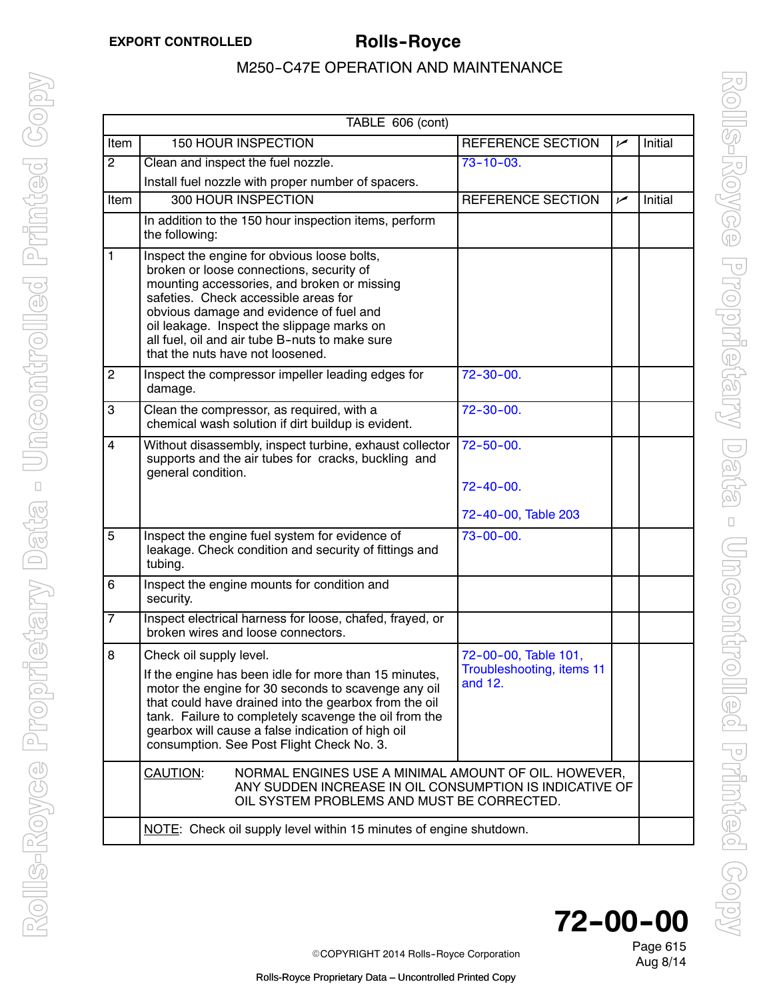<span id="page-8-0"></span>

| TABLE 606 (cont) |                                                                                                                                                                                                                                                                                                                                                               |                                                              |     |         |  |
|------------------|---------------------------------------------------------------------------------------------------------------------------------------------------------------------------------------------------------------------------------------------------------------------------------------------------------------------------------------------------------------|--------------------------------------------------------------|-----|---------|--|
| Item             | <b>150 HOUR INSPECTION</b>                                                                                                                                                                                                                                                                                                                                    | REFERENCE SECTION                                            | مما | Initial |  |
| $\overline{2}$   | Clean and inspect the fuel nozzle.                                                                                                                                                                                                                                                                                                                            | $73 - 10 - 03.$                                              |     |         |  |
|                  | Install fuel nozzle with proper number of spacers.                                                                                                                                                                                                                                                                                                            |                                                              |     |         |  |
| Item             | 300 HOUR INSPECTION                                                                                                                                                                                                                                                                                                                                           | REFERENCE SECTION                                            | مما | Initial |  |
|                  | In addition to the 150 hour inspection items, perform<br>the following:                                                                                                                                                                                                                                                                                       |                                                              |     |         |  |
| 1                | Inspect the engine for obvious loose bolts,<br>broken or loose connections, security of<br>mounting accessories, and broken or missing<br>safeties. Check accessible areas for<br>obvious damage and evidence of fuel and<br>oil leakage. Inspect the slippage marks on<br>all fuel, oil and air tube B-nuts to make sure<br>that the nuts have not loosened. |                                                              |     |         |  |
| $\overline{c}$   | Inspect the compressor impeller leading edges for<br>damage.                                                                                                                                                                                                                                                                                                  | $72 - 30 - 00.$                                              |     |         |  |
| 3                | Clean the compressor, as required, with a<br>chemical wash solution if dirt buildup is evident.                                                                                                                                                                                                                                                               | $72 - 30 - 00.$                                              |     |         |  |
| $\overline{4}$   | Without disassembly, inspect turbine, exhaust collector<br>supports and the air tubes for cracks, buckling and<br>general condition.                                                                                                                                                                                                                          | $72 - 50 - 00.$<br>$72 - 40 - 00.$                           |     |         |  |
|                  |                                                                                                                                                                                                                                                                                                                                                               | 72-40-00, Table 203                                          |     |         |  |
| $\overline{5}$   | Inspect the engine fuel system for evidence of<br>leakage. Check condition and security of fittings and<br>tubing.                                                                                                                                                                                                                                            | $73 - 00 - 00.$                                              |     |         |  |
| 6                | Inspect the engine mounts for condition and<br>security.                                                                                                                                                                                                                                                                                                      |                                                              |     |         |  |
| $\overline{7}$   | Inspect electrical harness for loose, chafed, frayed, or<br>broken wires and loose connectors.                                                                                                                                                                                                                                                                |                                                              |     |         |  |
| 8                | Check oil supply level.<br>If the engine has been idle for more than 15 minutes,<br>motor the engine for 30 seconds to scavenge any oil<br>that could have drained into the gearbox from the oil<br>tank. Failure to completely scavenge the oil from the<br>gearbox will cause a false indication of high oil<br>consumption. See Post Flight Check No. 3.   | 72-00-00, Table 101,<br>Troubleshooting, items 11<br>and 12. |     |         |  |
|                  | CAUTION:<br>NORMAL ENGINES USE A MINIMAL AMOUNT OF OIL. HOWEVER,<br>ANY SUDDEN INCREASE IN OIL CONSUMPTION IS INDICATIVE OF<br>OIL SYSTEM PROBLEMS AND MUST BE CORRECTED.                                                                                                                                                                                     |                                                              |     |         |  |
|                  | NOTE: Check oil supply level within 15 minutes of engine shutdown.                                                                                                                                                                                                                                                                                            |                                                              |     |         |  |



Aug 8/14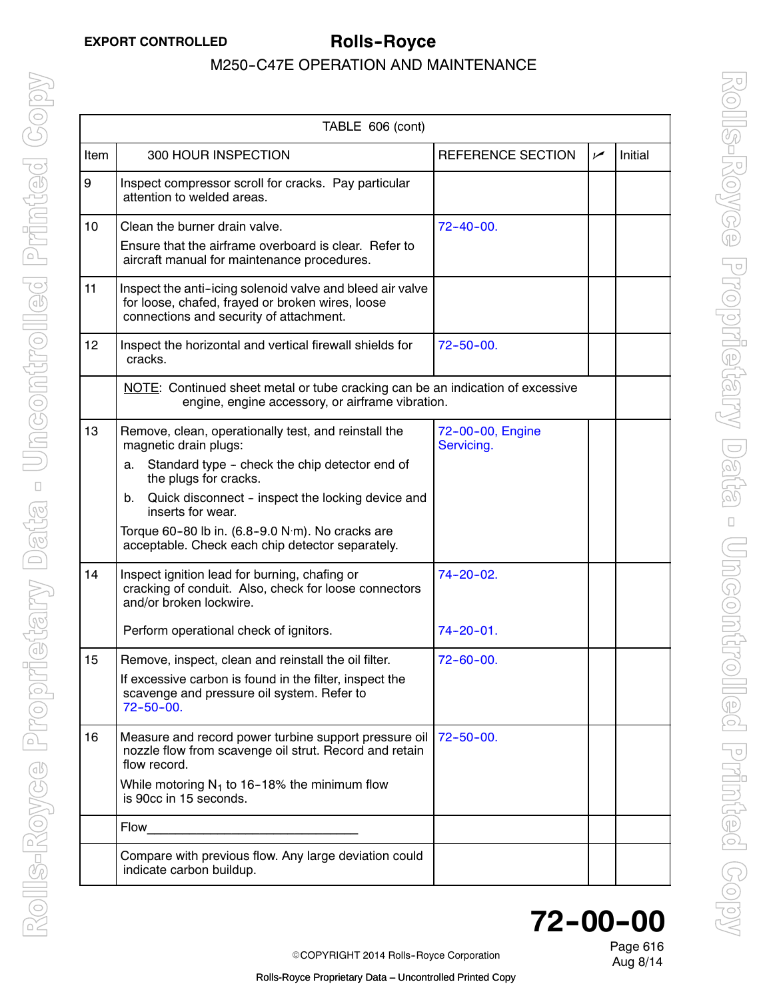| TABLE 606 (cont) |                                                                                                                                                          |                                |     |         |
|------------------|----------------------------------------------------------------------------------------------------------------------------------------------------------|--------------------------------|-----|---------|
| Item             | 300 HOUR INSPECTION                                                                                                                                      | REFERENCE SECTION              | سما | Initial |
| 9                | Inspect compressor scroll for cracks. Pay particular<br>attention to welded areas.                                                                       |                                |     |         |
| 10               | Clean the burner drain valve.                                                                                                                            | $72 - 40 - 00$ .               |     |         |
|                  | Ensure that the airframe overboard is clear. Refer to<br>aircraft manual for maintenance procedures.                                                     |                                |     |         |
| 11               | Inspect the anti-icing solenoid valve and bleed air valve<br>for loose, chafed, frayed or broken wires, loose<br>connections and security of attachment. |                                |     |         |
| 12               | Inspect the horizontal and vertical firewall shields for<br>cracks.                                                                                      | $72 - 50 - 00.$                |     |         |
|                  | NOTE: Continued sheet metal or tube cracking can be an indication of excessive<br>engine, engine accessory, or airframe vibration.                       |                                |     |         |
| 13               | Remove, clean, operationally test, and reinstall the<br>magnetic drain plugs:                                                                            | 72-00-00, Engine<br>Servicing. |     |         |
|                  | Standard type - check the chip detector end of<br>a.<br>the plugs for cracks.                                                                            |                                |     |         |
|                  | Quick disconnect - inspect the locking device and<br>b.<br>inserts for wear.                                                                             |                                |     |         |
|                  | Torque 60-80 lb in. (6.8-9.0 N·m). No cracks are<br>acceptable. Check each chip detector separately.                                                     |                                |     |         |
| 14               | Inspect ignition lead for burning, chafing or<br>cracking of conduit. Also, check for loose connectors<br>and/or broken lockwire.                        | $74 - 20 - 02$ .               |     |         |
|                  | Perform operational check of ignitors.                                                                                                                   | $74 - 20 - 01$ .               |     |         |
| 15               | Remove, inspect, clean and reinstall the oil filter.                                                                                                     | $72 - 60 - 00$ .               |     |         |
|                  | If excessive carbon is found in the filter, inspect the<br>scavenge and pressure oil system. Refer to<br>$72 - 50 - 00.$                                 |                                |     |         |
| 16               | Measure and record power turbine support pressure oil<br>nozzle flow from scavenge oil strut. Record and retain<br>flow record.                          | $72 - 50 - 00$ .               |     |         |
|                  | While motoring $N_1$ to 16-18% the minimum flow<br>is 90cc in 15 seconds.                                                                                |                                |     |         |
|                  | Flow                                                                                                                                                     |                                |     |         |
|                  | Compare with previous flow. Any large deviation could<br>indicate carbon buildup.                                                                        |                                |     |         |

## Page 616 **72--00--00**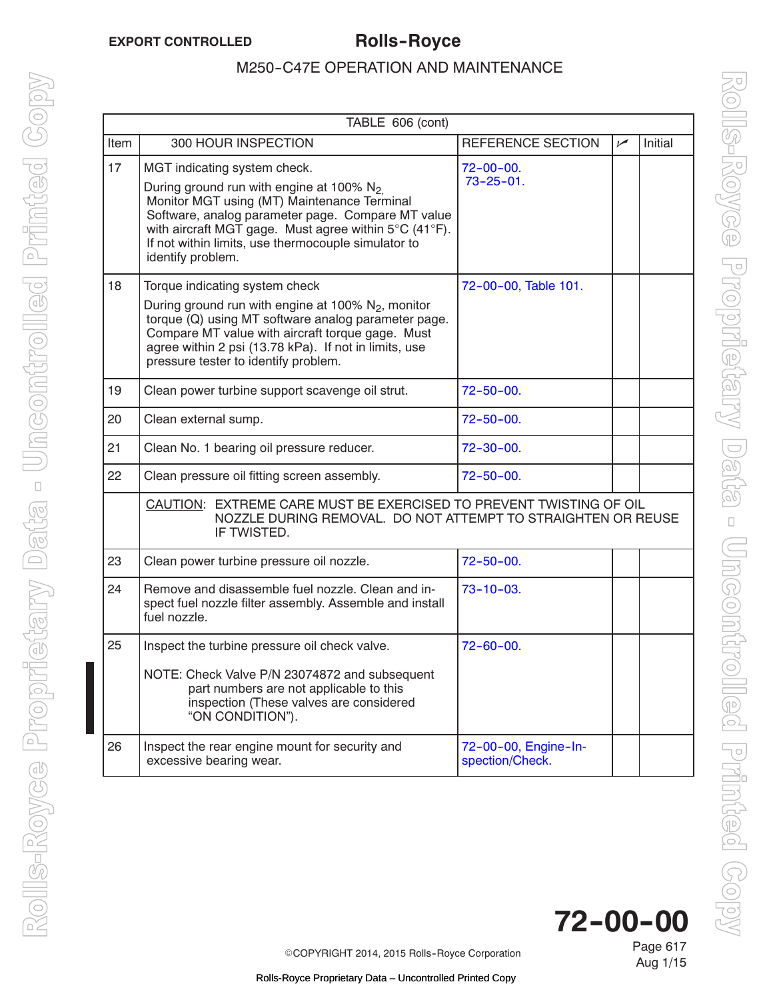|      | TABLE 606 (cont)                                                                                                                                                                                                                                                                                                     |                                         |           |         |  |  |
|------|----------------------------------------------------------------------------------------------------------------------------------------------------------------------------------------------------------------------------------------------------------------------------------------------------------------------|-----------------------------------------|-----------|---------|--|--|
| Item | 300 HOUR INSPECTION                                                                                                                                                                                                                                                                                                  | REFERENCE SECTION                       | $\sqrt{}$ | Initial |  |  |
| 17   | MGT indicating system check.<br>During ground run with engine at 100% $N_2$<br>Monitor MGT using (MT) Maintenance Terminal<br>Software, analog parameter page. Compare MT value<br>with aircraft MGT gage. Must agree within 5°C (41°F).<br>If not within limits, use thermocouple simulator to<br>identify problem. | $72 - 00 - 00.$<br>$73 - 25 - 01$ .     |           |         |  |  |
| 18   | Torque indicating system check<br>During ground run with engine at 100% N <sub>2</sub> , monitor<br>torque (Q) using MT software analog parameter page.<br>Compare MT value with aircraft torque gage. Must<br>agree within 2 psi (13.78 kPa). If not in limits, use<br>pressure tester to identify problem.         | 72-00-00, Table 101.                    |           |         |  |  |
| 19   | Clean power turbine support scavenge oil strut.                                                                                                                                                                                                                                                                      | $72 - 50 - 00.$                         |           |         |  |  |
| 20   | Clean external sump.                                                                                                                                                                                                                                                                                                 | $72 - 50 - 00.$                         |           |         |  |  |
| 21   | Clean No. 1 bearing oil pressure reducer.                                                                                                                                                                                                                                                                            | $72 - 30 - 00$ .                        |           |         |  |  |
| 22   | Clean pressure oil fitting screen assembly.                                                                                                                                                                                                                                                                          | $72 - 50 - 00.$                         |           |         |  |  |
|      | CAUTION: EXTREME CARE MUST BE EXERCISED TO PREVENT TWISTING OF OIL<br>NOZZLE DURING REMOVAL. DO NOT ATTEMPT TO STRAIGHTEN OR REUSE<br>IF TWISTED.                                                                                                                                                                    |                                         |           |         |  |  |
| 23   | Clean power turbine pressure oil nozzle.                                                                                                                                                                                                                                                                             | $72 - 50 - 00.$                         |           |         |  |  |
| 24   | Remove and disassemble fuel nozzle. Clean and in-<br>spect fuel nozzle filter assembly. Assemble and install<br>fuel nozzle.                                                                                                                                                                                         | $73 - 10 - 03$ .                        |           |         |  |  |
| 25   | Inspect the turbine pressure oil check valve.<br>NOTE: Check Valve P/N 23074872 and subsequent<br>part numbers are not applicable to this<br>inspection (These valves are considered<br>"ON CONDITION").                                                                                                             | $72 - 60 - 00.$                         |           |         |  |  |
| 26   | Inspect the rear engine mount for security and<br>excessive bearing wear.                                                                                                                                                                                                                                            | 72-00-00, Engine-In-<br>spection/Check. |           |         |  |  |

Page 617 **72--00--00**

Aug 1/15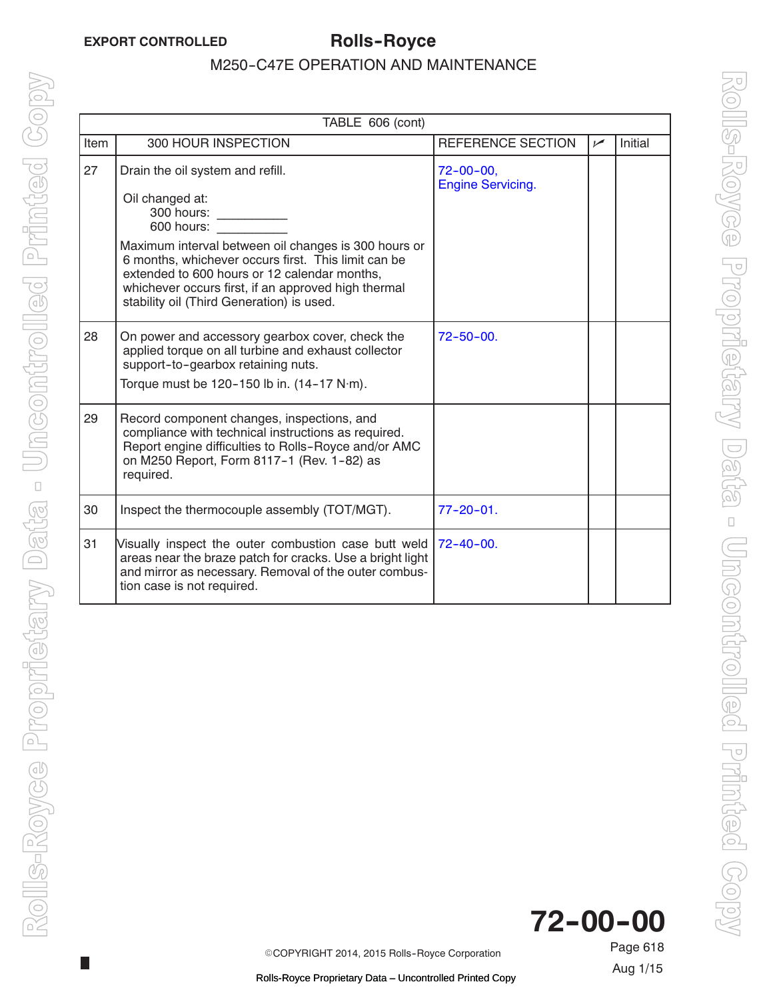$\mathbb{R}^n$ 

### M250-C47E OPERATION AND MAINTENANCE

<span id="page-11-0"></span>

| TABLE 606 (cont) |                                                                                                                                                                                                                                                                                                                                                    |                                              |           |         |
|------------------|----------------------------------------------------------------------------------------------------------------------------------------------------------------------------------------------------------------------------------------------------------------------------------------------------------------------------------------------------|----------------------------------------------|-----------|---------|
| Item             | 300 HOUR INSPECTION                                                                                                                                                                                                                                                                                                                                | REFERENCE SECTION                            | $\sqrt{}$ | Initial |
| 27               | Drain the oil system and refill.<br>Oil changed at:<br>300 hours:<br>600 hours:<br>Maximum interval between oil changes is 300 hours or<br>6 months, whichever occurs first. This limit can be<br>extended to 600 hours or 12 calendar months.<br>whichever occurs first, if an approved high thermal<br>stability oil (Third Generation) is used. | $72 - 00 - 00$ ,<br><b>Engine Servicing.</b> |           |         |
| 28               | On power and accessory gearbox cover, check the<br>applied torque on all turbine and exhaust collector<br>support-to-gearbox retaining nuts.<br>Torque must be $120 - 150$ lb in. $(14 - 17 \text{ N} \cdot \text{m})$ .                                                                                                                           | $72 - 50 - 00$ .                             |           |         |
| 29               | Record component changes, inspections, and<br>compliance with technical instructions as required.<br>Report engine difficulties to Rolls-Royce and/or AMC<br>on M250 Report, Form 8117-1 (Rev. 1-82) as<br>required.                                                                                                                               |                                              |           |         |
| 30               | Inspect the thermocouple assembly (TOT/MGT).                                                                                                                                                                                                                                                                                                       | $77 - 20 - 01$ .                             |           |         |
| 31               | Visually inspect the outer combustion case butt weld<br>areas near the braze patch for cracks. Use a bright light<br>and mirror as necessary. Removal of the outer combus-<br>tion case is not required.                                                                                                                                           | $72 - 40 - 00$ .                             |           |         |



ECOPYRIGHT 2014, 2015 Rolls--Royce Corporation

Page 618 Aug 1/15